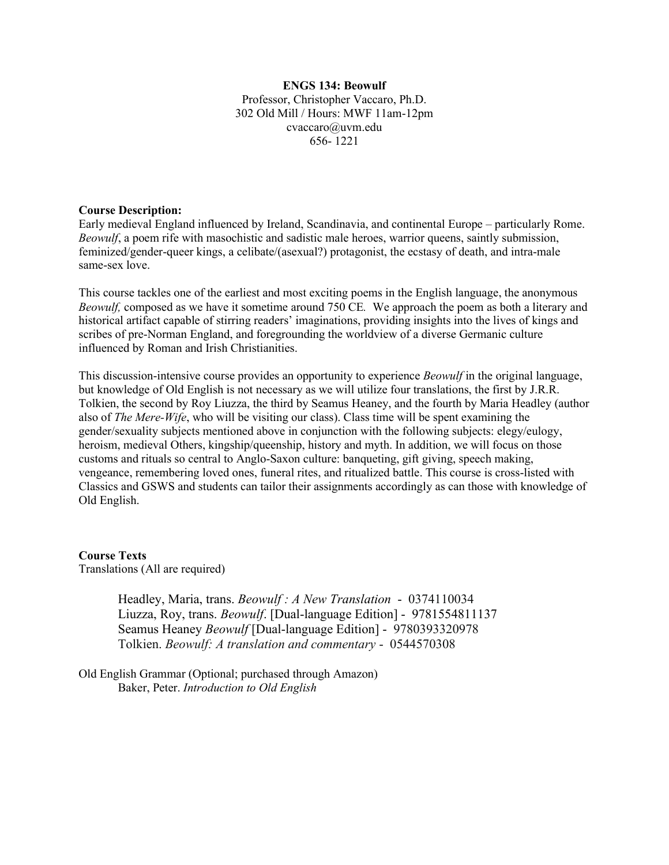### **ENGS 134: Beowulf** Professor, Christopher Vaccaro, Ph.D. 302 Old Mill / Hours: MWF 11am-12pm cvaccaro@uvm.edu 656- 1221

### **Course Description:**

Early medieval England influenced by Ireland, Scandinavia, and continental Europe – particularly Rome. *Beowulf*, a poem rife with masochistic and sadistic male heroes, warrior queens, saintly submission, feminized/gender-queer kings, a celibate/(asexual?) protagonist, the ecstasy of death, and intra-male same-sex love.

This course tackles one of the earliest and most exciting poems in the English language, the anonymous *Beowulf,* composed as we have it sometime around 750 CE*.* We approach the poem as both a literary and historical artifact capable of stirring readers' imaginations, providing insights into the lives of kings and scribes of pre-Norman England, and foregrounding the worldview of a diverse Germanic culture influenced by Roman and Irish Christianities.

This discussion-intensive course provides an opportunity to experience *Beowulf* in the original language, but knowledge of Old English is not necessary as we will utilize four translations, the first by J.R.R. Tolkien, the second by Roy Liuzza, the third by Seamus Heaney, and the fourth by Maria Headley (author also of *The Mere-Wife*, who will be visiting our class). Class time will be spent examining the gender/sexuality subjects mentioned above in conjunction with the following subjects: elegy/eulogy, heroism, medieval Others, kingship/queenship, history and myth. In addition, we will focus on those customs and rituals so central to Anglo-Saxon culture: banqueting, gift giving, speech making, vengeance, remembering loved ones, funeral rites, and ritualized battle. This course is cross-listed with Classics and GSWS and students can tailor their assignments accordingly as can those with knowledge of Old English.

**Course Texts** Translations (All are required)

> Headley, Maria, trans. *Beowulf : A New Translation* - 0374110034 Liuzza, Roy, trans. *Beowulf*. [Dual-language Edition] - 9781554811137 Seamus Heaney *Beowulf* [Dual-language Edition] - 9780393320978 Tolkien. *Beowulf: A translation and commentary* - 0544570308

Old English Grammar (Optional; purchased through Amazon) Baker, Peter. *Introduction to Old English*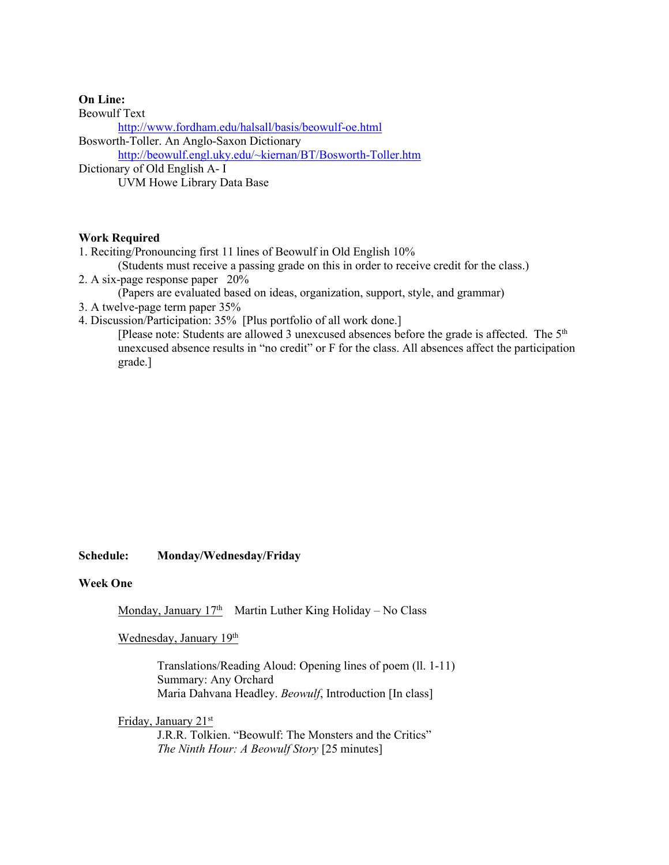### **On Line:**

Beowulf Text <http://www.fordham.edu/halsall/basis/beowulf-oe.html> Bosworth-Toller. An Anglo-Saxon Dictionary [http://beowulf.engl.uky.edu/~kiernan/BT/Bosworth-Toller.htm](http://beowulf.engl.uky.edu/%7Ekiernan/BT/Bosworth-Toller.htm) Dictionary of Old English A- I UVM Howe Library Data Base

### **Work Required**

- 1. Reciting/Pronouncing first 11 lines of Beowulf in Old English 10%
- (Students must receive a passing grade on this in order to receive credit for the class.)
- 2. A six-page response paper 20%

(Papers are evaluated based on ideas, organization, support, style, and grammar)

- 3. A twelve-page term paper 35%
- 4. Discussion/Participation: 35% [Plus portfolio of all work done.]

[Please note: Students are allowed 3 unexcused absences before the grade is affected. The 5<sup>th</sup> unexcused absence results in "no credit" or F for the class. All absences affect the participation grade.]

### **Schedule: Monday/Wednesday/Friday**

### **Week One**

Monday, January  $17<sup>th</sup>$  Martin Luther King Holiday – No Class

### Wednesday, January 19<sup>th</sup>

Translations/Reading Aloud: Opening lines of poem (ll. 1-11) Summary: Any Orchard Maria Dahvana Headley. *Beowulf*, Introduction [In class]

Friday, January 21st

J.R.R. Tolkien. "Beowulf: The Monsters and the Critics" *The Ninth Hour: A Beowulf Story* [25 minutes]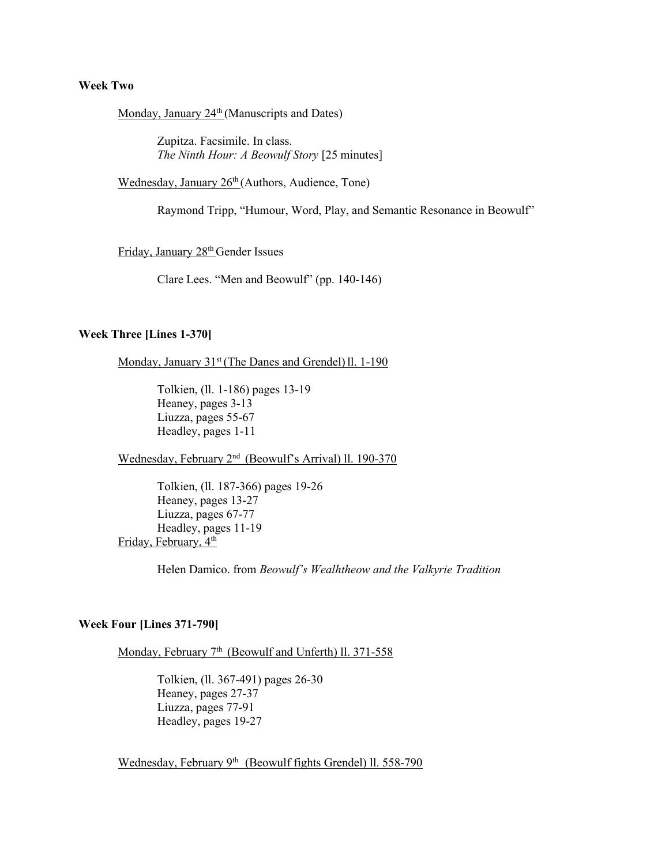### **Week Two**

Monday, January 24<sup>th</sup> (Manuscripts and Dates)

Zupitza. Facsimile. In class. *The Ninth Hour: A Beowulf Story* [25 minutes]

Wednesday, January 26<sup>th</sup> (Authors, Audience, Tone)

Raymond Tripp, "Humour, Word, Play, and Semantic Resonance in Beowulf"

Friday, January 28<sup>th</sup> Gender Issues

Clare Lees. "Men and Beowulf" (pp. 140-146)

#### **Week Three [Lines 1-370]**

Monday, January 31<sup>st</sup> (The Danes and Grendel) ll. 1-190

Tolkien, (ll. 1-186) pages 13-19 Heaney, pages 3-13 Liuzza, pages 55-67 Headley, pages 1-11

Wednesday, February 2<sup>nd</sup> (Beowulf's Arrival) ll. 190-370

Tolkien, (ll. 187-366) pages 19-26 Heaney, pages 13-27 Liuzza, pages 67-77 Headley, pages 11-19 Friday, February, 4<sup>th</sup>

Helen Damico. from *Beowulf's Wealhtheow and the Valkyrie Tradition*

### **Week Four [Lines 371-790]**

Monday, February 7<sup>th</sup> (Beowulf and Unferth) ll. 371-558

Tolkien, (ll. 367-491) pages 26-30 Heaney, pages 27-37 Liuzza, pages 77-91 Headley, pages 19-27

Wednesday, February 9<sup>th</sup> (Beowulf fights Grendel) ll. 558-790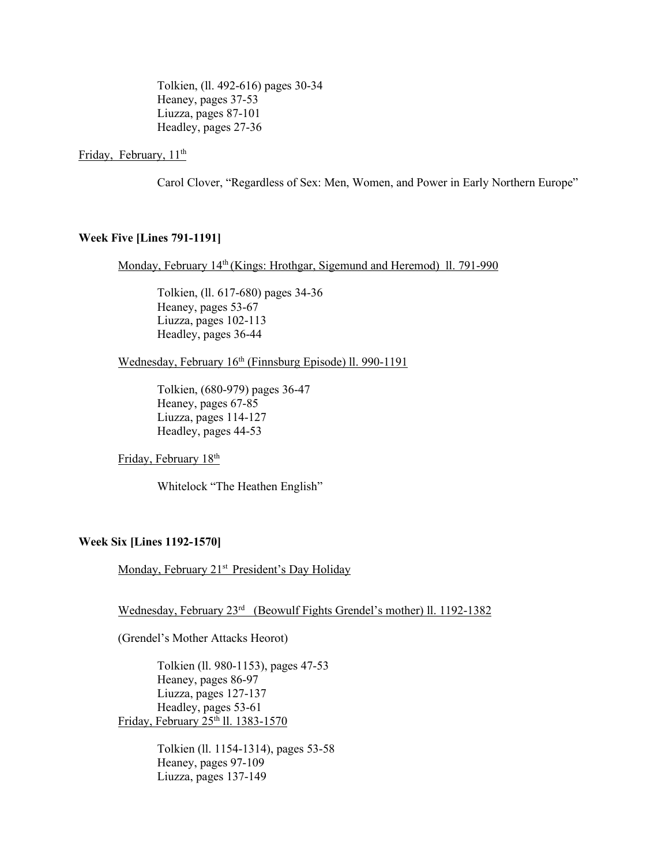Tolkien, (ll. 492-616) pages 30-34 Heaney, pages 37-53 Liuzza, pages 87-101 Headley, pages 27-36

### Friday, February,  $11<sup>th</sup>$

Carol Clover, "Regardless of Sex: Men, Women, and Power in Early Northern Europe"

### **Week Five [Lines 791-1191]**

Monday, February 14<sup>th</sup> (Kings: Hrothgar, Sigemund and Heremod) 11. 791-990

Tolkien, (ll. 617-680) pages 34-36 Heaney, pages 53-67 Liuzza, pages 102-113 Headley, pages 36-44

Wednesday, February 16<sup>th</sup> (Finnsburg Episode) ll. 990-1191

Tolkien, (680-979) pages 36-47 Heaney, pages 67-85 Liuzza, pages 114-127 Headley, pages 44-53

Friday, February 18th

Whitelock "The Heathen English"

### **Week Six [Lines 1192-1570]**

Monday, February 21<sup>st</sup> President's Day Holiday

Wednesday, February 23rd (Beowulf Fights Grendel's mother) ll. 1192-1382

(Grendel's Mother Attacks Heorot)

Tolkien (ll. 980-1153), pages 47-53 Heaney, pages 86-97 Liuzza, pages 127-137 Headley, pages 53-61 Friday, February 25<sup>th</sup> ll. 1383-1570

> Tolkien (ll. 1154-1314), pages 53-58 Heaney, pages 97-109 Liuzza, pages 137-149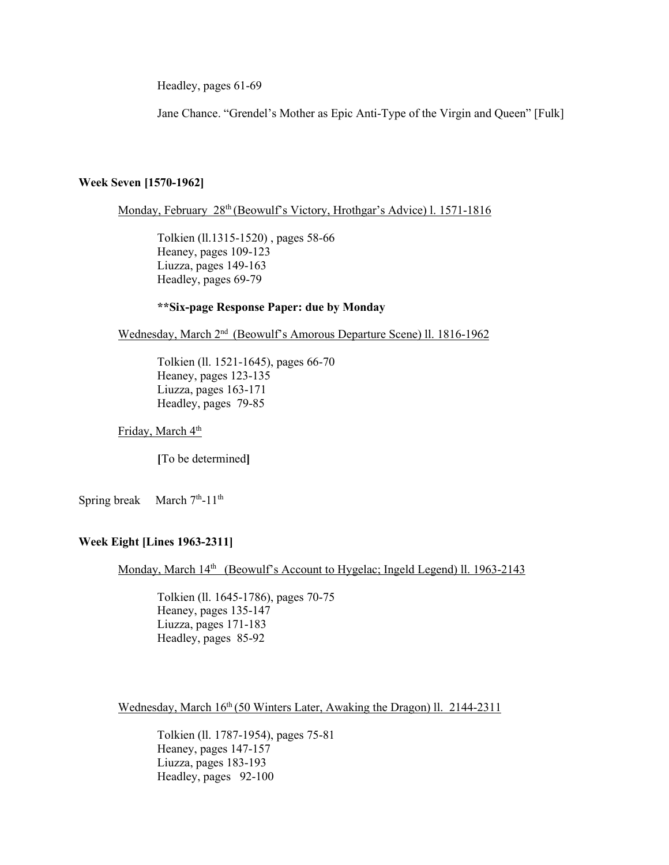Headley, pages 61-69

Jane Chance. "Grendel's Mother as Epic Anti-Type of the Virgin and Queen" [Fulk]

### **Week Seven [1570-1962]**

Monday, February 28<sup>th</sup> (Beowulf's Victory, Hrothgar's Advice) l. 1571-1816

Tolkien (ll.1315-1520) , pages 58-66 Heaney, pages 109-123 Liuzza, pages 149-163 Headley, pages 69-79

### **\*\*Six-page Response Paper: due by Monday**

Wednesday, March 2nd (Beowulf's Amorous Departure Scene) ll. 1816-1962

Tolkien (ll. 1521-1645), pages 66-70 Heaney, pages 123-135 Liuzza, pages 163-171 Headley, pages 79-85

Friday, March 4<sup>th</sup>

**[**To be determined**]**

Spring break March  $7<sup>th</sup>$ -11<sup>th</sup>

## **Week Eight [Lines 1963-2311]**

Monday, March 14<sup>th</sup> (Beowulf's Account to Hygelac; Ingeld Legend) ll. 1963-2143

Tolkien (ll. 1645-1786), pages 70-75 Heaney, pages 135-147 Liuzza, pages 171-183 Headley, pages 85-92

Wednesday, March 16<sup>th</sup> (50 Winters Later, Awaking the Dragon) ll. 2144-2311

Tolkien (ll. 1787-1954), pages 75-81 Heaney, pages 147-157 Liuzza, pages 183-193 Headley, pages 92-100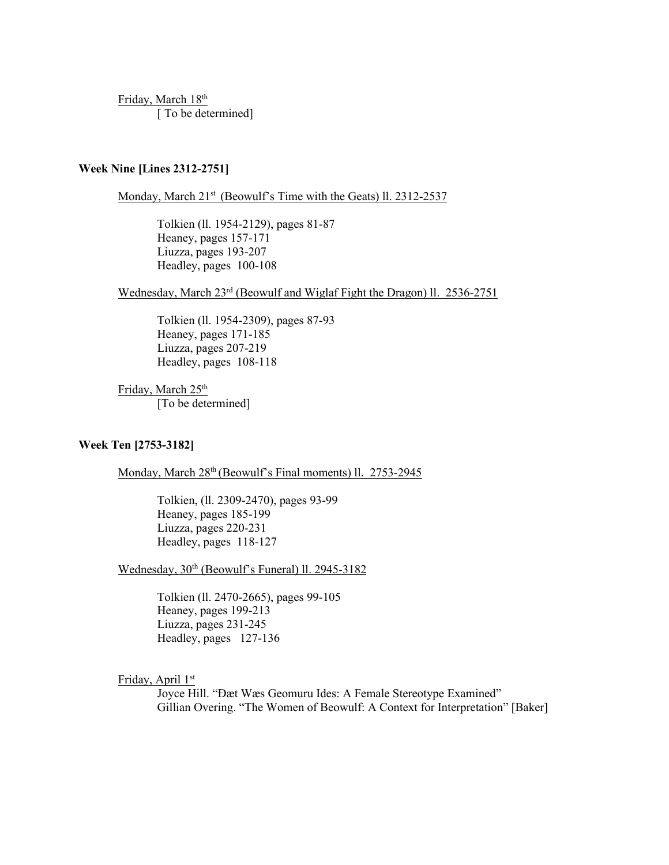Friday, March 18th [ To be determined]

## **Week Nine [Lines 2312-2751]**

Monday, March 21<sup>st</sup> (Beowulf's Time with the Geats) ll. 2312-2537

Tolkien (ll. 1954-2129), pages 81-87 Heaney, pages 157-171 Liuzza, pages 193-207 Headley, pages 100-108

Wednesday, March 23rd (Beowulf and Wiglaf Fight the Dragon) ll. 2536-2751

Tolkien (ll. 1954-2309), pages 87-93 Heaney, pages 171-185 Liuzza, pages 207-219 Headley, pages 108-118

Friday, March 25<sup>th</sup> [To be determined]

### **Week Ten [2753-3182]**

Monday, March 28<sup>th</sup> (Beowulf's Final moments) ll. 2753-2945

Tolkien, (ll. 2309-2470), pages 93-99 Heaney, pages 185-199 Liuzza, pages 220-231 Headley, pages 118-127

Wednesday, 30<sup>th</sup> (Beowulf's Funeral) ll. 2945-3182

Tolkien (ll. 2470-2665), pages 99-105 Heaney, pages 199-213 Liuzza, pages 231-245 Headley, pages 127-136

Friday, April 1st

Joyce Hill. "Ðæt Wæs Geomuru Ides: A Female Stereotype Examined" Gillian Overing. "The Women of Beowulf: A Context for Interpretation" [Baker]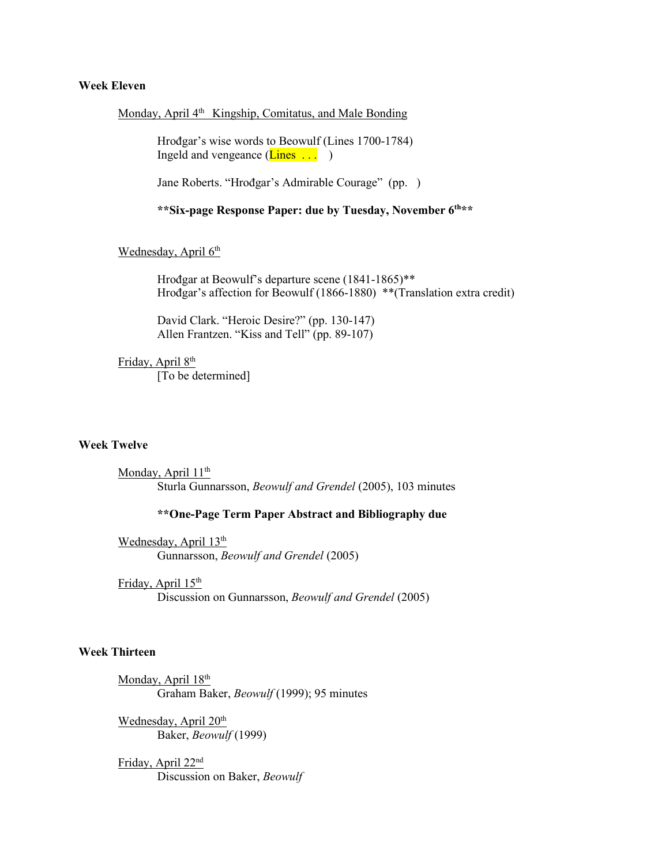### **Week Eleven**

#### Monday, April 4<sup>th</sup> Kingship, Comitatus, and Male Bonding

Hrođgar's wise words to Beowulf (Lines 1700-1784) Ingeld and vengeance  $(\text{Lines} \dots)$ 

Jane Roberts. "Hrođgar's Admirable Courage" (pp. )

**\*\*Six-page Response Paper: due by Tuesday, November 6th\*\***

Wednesday, April 6th

Hrođgar at Beowulf's departure scene (1841-1865)\*\* Hrođgar's affection for Beowulf (1866-1880) \*\*(Translation extra credit)

David Clark. "Heroic Desire?" (pp. 130-147) Allen Frantzen. "Kiss and Tell" (pp. 89-107)

Friday, April 8<sup>th</sup> [To be determined]

#### **Week Twelve**

Monday, April 11<sup>th</sup> Sturla Gunnarsson, *Beowulf and Grendel* (2005), 103 minutes

#### **\*\*One-Page Term Paper Abstract and Bibliography due**

Wednesday, April 13<sup>th</sup> Gunnarsson, *Beowulf and Grendel* (2005)

Friday, April 15<sup>th</sup>

Discussion on Gunnarsson, *Beowulf and Grendel* (2005)

## **Week Thirteen**

Monday, April 18<sup>th</sup> Graham Baker, *Beowulf* (1999); 95 minutes

Wednesday, April 20<sup>th</sup> Baker, *Beowulf* (1999)

Friday, April 22nd Discussion on Baker, *Beowulf*